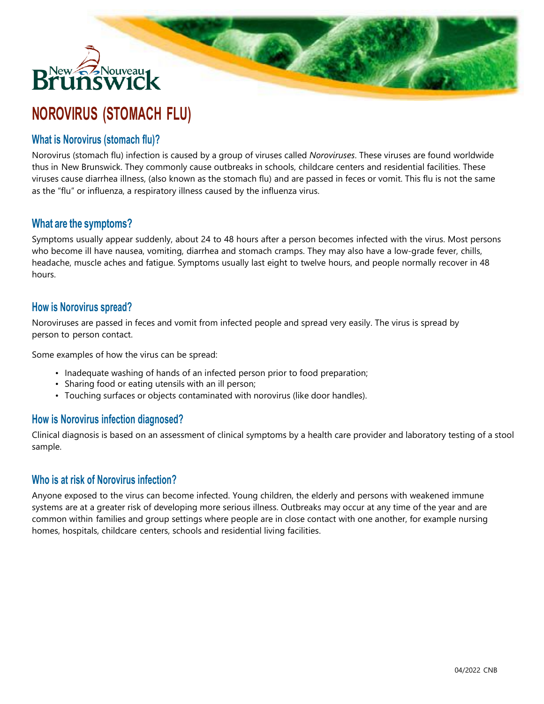# New Bolognes<br>1111111111111111

## **NOROVIRUS (STOMACH FLU)**

### **What is Norovirus (stomach flu)?**

Norovirus (stomach flu) infection is caused by a group of viruses called *Noroviruses*. These viruses are found worldwide thus in New Brunswick. They commonly cause outbreaks in schools, childcare centers and residential facilities. These viruses cause diarrhea illness, (also known as the stomach flu) and are passed in feces or vomit. This flu is not the same as the "flu" or influenza, a respiratory illness caused by the influenza virus.

**Lease** 

### **What are the symptoms?**

Symptoms usually appear suddenly, about 24 to 48 hours after a person becomes infected with the virus. Most persons who become ill have nausea, vomiting, diarrhea and stomach cramps. They may also have a low-grade fever, chills, headache, muscle aches and fatigue. Symptoms usually last eight to twelve hours, and people normally recover in 48 hours.

#### **How is Norovirus spread?**

Noroviruses are passed in feces and vomit from infected people and spread very easily. The virus is spread by person to person contact.

Some examples of how the virus can be spread:

- Inadequate washing of hands of an infected person prior to food preparation;
- Sharing food or eating utensils with an ill person;
- Touching surfaces or objects contaminated with norovirus (like door handles).

#### **How is Norovirus infection diagnosed?**

Clinical diagnosis is based on an assessment of clinical symptoms by a health care provider and laboratory testing of a stool sample.

#### **Who is at risk of Norovirus infection?**

Anyone exposed to the virus can become infected. Young children, the elderly and persons with weakened immune systems are at a greater risk of developing more serious illness. Outbreaks may occur at any time of the year and are common within families and group settings where people are in close contact with one another, for example nursing homes, hospitals, childcare centers, schools and residential living facilities.